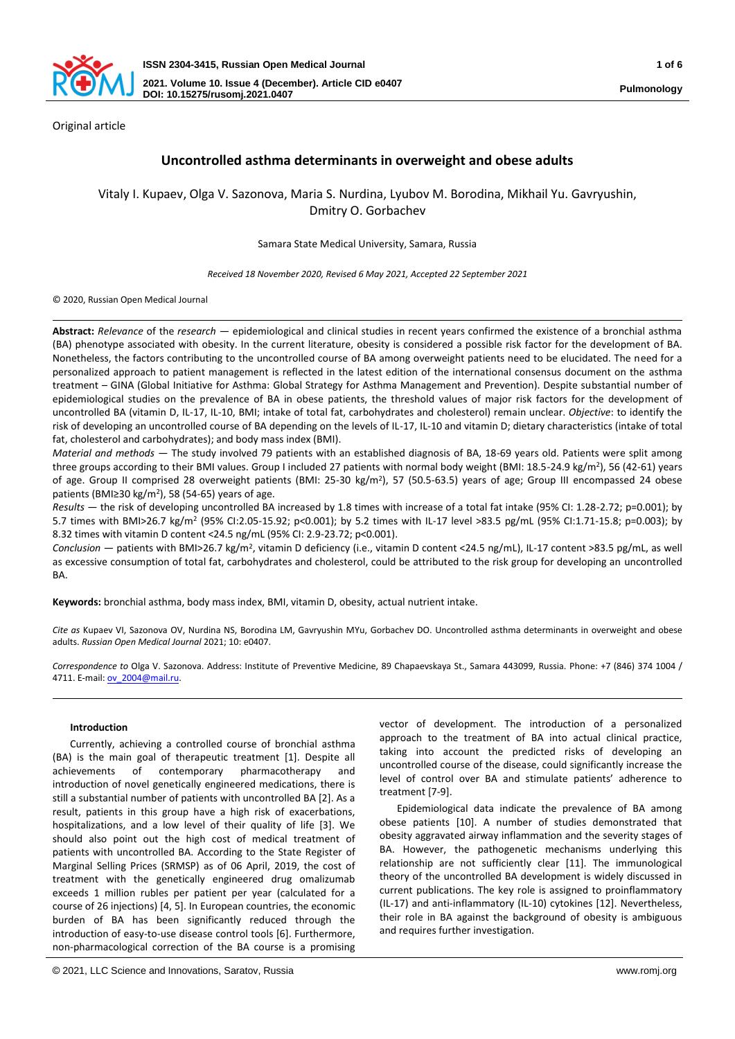

Original article

# **Uncontrolled asthma determinants in overweight and obese adults**

Vitaly I. Kupaev, Olga V. Sazonova, Maria S. Nurdina, Lyubov M. Borodina, Mikhail Yu. Gavryushin, Dmitry O. Gorbachev

Samara State Medical University, Samara, Russia

*Received 18 November 2020, Revised 6 May 2021, Accepted 22 September 2021*

© 2020, Russian Open Medical Journal

**Abstract:** *Relevance* of the *research —* epidemiological and clinical studies in recent years confirmed the existence of a bronchial asthma (BA) phenotype associated with obesity. In the current literature, obesity is considered a possible risk factor for the development of BA. Nonetheless, the factors contributing to the uncontrolled course of BA among overweight patients need to be elucidated. The need for a personalized approach to patient management is reflected in the latest edition of the international consensus document on the asthma treatment – GINA (Global Initiative for Asthma: Global Strategy for Asthma Management and Prevention). Despite substantial number of epidemiological studies on the prevalence of BA in obese patients, the threshold values of major risk factors for the development of uncontrolled BA (vitamin D, IL-17, IL-10, BMI; intake of total fat, carbohydrates and cholesterol) remain unclear. *Objective*: to identify the risk of developing an uncontrolled course of BA depending on the levels of IL-17, IL-10 and vitamin D; dietary characteristics (intake of total fat, cholesterol and carbohydrates); and body mass index (BMI).

*Material and methods —* The study involved 79 patients with an established diagnosis of BA, 18-69 years old. Patients were split among three groups according to their BMI values. Group I included 27 patients with normal body weight (BMI: 18.5-24.9 kg/m<sup>2</sup>), 56 (42-61) years of age. Group II comprised 28 overweight patients (BMI: 25-30 kg/m<sup>2</sup>), 57 (50.5-63.5) years of age; Group III encompassed 24 obese patients (BMI≥30 kg/m<sup>2</sup>), 58 (54-65) years of age.

*Results —* the risk of developing uncontrolled BA increased by 1.8 times with increase of a total fat intake (95% CI: 1.28-2.72; p=0.001); by 5.7 times with BMI>26.7 kg/m<sup>2</sup> (95% CI:2.05-15.92; p<0.001); by 5.2 times with IL-17 level >83.5 pg/mL (95% CI:1.71-15.8; p=0.003); by 8.32 times with vitamin D content <24.5 ng/mL (95% CI: 2.9-23.72; p<0.001).

Conclusion — patients with BMI>26.7 kg/m<sup>2</sup>, vitamin D deficiency (i.e., vitamin D content <24.5 ng/mL), IL-17 content >83.5 pg/mL, as well as excessive consumption of total fat, carbohydrates and cholesterol, could be attributed to the risk group for developing an uncontrolled BA.

**Keywords:** bronchial asthma, body mass index, BMI, vitamin D, obesity, actual nutrient intake.

*Cite as* Kupaev VI, Sazonova OV, Nurdina NS, Borodina LM, Gavryushin MYu, Gorbachev DO. Uncontrolled asthma determinants in overweight and obese adults. *Russian Open Medical Journal* 2021; 10: e0407.

*Correspondence to* Olga V. Sazonova. Address: Institute of Preventive Medicine, 89 Chapaevskaya St., Samara 443099, Russia. Phone: +7 (846) 374 1004 / 4711. E-mail: ov 2004@mail.ru.

# **Introduction**

Currently, achieving a controlled course of bronchial asthma (BA) is the main goal of therapeutic treatment [1]. Despite all achievements of contemporary pharmacotherapy and introduction of novel genetically engineered medications, there is still a substantial number of patients with uncontrolled BA [2]. As a result, patients in this group have a high risk of exacerbations, hospitalizations, and a low level of their quality of life [3]. We should also point out the high cost of medical treatment of patients with uncontrolled BA. According to the State Register of Marginal Selling Prices (SRMSP) as of 06 April, 2019, the cost of treatment with the genetically engineered drug omalizumab exceeds 1 million rubles per patient per year (calculated for a course of 26 injections) [4, 5]. In European countries, the economic burden of BA has been significantly reduced through the introduction of easy-to-use disease control tools [6]. Furthermore, non-pharmacological correction of the BA course is a promising

vector of development. The introduction of a personalized approach to the treatment of BA into actual clinical practice, taking into account the predicted risks of developing an uncontrolled course of the disease, could significantly increase the level of control over BA and stimulate patients' adherence to treatment [7-9].

Epidemiological data indicate the prevalence of BA among obese patients [10]. A number of studies demonstrated that obesity aggravated airway inflammation and the severity stages of BA. However, the pathogenetic mechanisms underlying this relationship are not sufficiently clear [11]. The immunological theory of the uncontrolled BA development is widely discussed in current publications. The key role is assigned to proinflammatory (IL-17) and anti-inflammatory (IL-10) cytokines [12]. Nevertheless, their role in BA against the background of obesity is ambiguous and requires further investigation.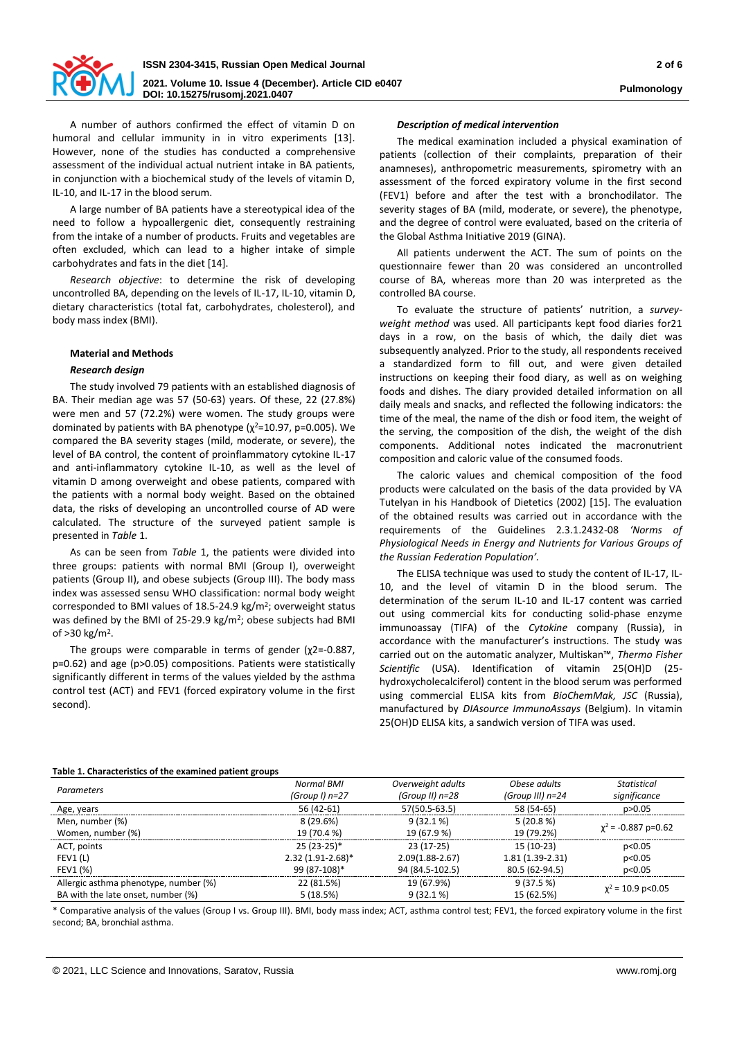

A number of authors confirmed the effect of vitamin D on humoral and cellular immunity in in vitro experiments [13]. However, none of the studies has conducted a comprehensive assessment of the individual actual nutrient intake in BA patients, in conjunction with a biochemical study of the levels of vitamin D, IL-10, and IL-17 in the blood serum.

A large number of BA patients have a stereotypical idea of the need to follow a hypoallergenic diet, consequently restraining from the intake of a number of products. Fruits and vegetables are often excluded, which can lead to a higher intake of simple carbohydrates and fats in the diet [14].

*Research objective*: to determine the risk of developing uncontrolled BA, depending on the levels of IL-17, IL-10, vitamin D, dietary characteristics (total fat, carbohydrates, cholesterol), and body mass index (BMI).

# **Material and Methods**

# *Research design*

The study involved 79 patients with an established diagnosis of BA. Their median age was 57 (50-63) years. Of these, 22 (27.8%) were men and 57 (72.2%) were women. The study groups were dominated by patients with BA phenotype  $(\chi^2=10.97, p=0.005)$ . We compared the BA severity stages (mild, moderate, or severe), the level of BA control, the content of proinflammatory cytokine IL-17 and anti-inflammatory cytokine IL-10, as well as the level of vitamin D among overweight and obese patients, compared with the patients with a normal body weight. Based on the obtained data, the risks of developing an uncontrolled course of AD were calculated. The structure of the surveyed patient sample is presented in *Table* 1.

As can be seen from *Table* 1, the patients were divided into three groups: patients with normal BMI (Group I), overweight patients (Group II), and obese subjects (Group III). The body mass index was assessed sensu WHO classification: normal body weight corresponded to BMI values of  $18.5$ -24.9 kg/m<sup>2</sup>; overweight status was defined by the BMI of 25-29.9 kg/m<sup>2</sup>; obese subjects had BMI of >30 kg/m<sup>2</sup> .

The groups were comparable in terms of gender  $(\chi^2=-0.887,$ p=0.62) and age (p>0.05) compositions. Patients were statistically significantly different in terms of the values yielded by the asthma control test (ACT) and FEV1 (forced expiratory volume in the first second).

### *Description of medical intervention*

The medical examination included a physical examination of patients (collection of their complaints, preparation of their anamneses), anthropometric measurements, spirometry with an assessment of the forced expiratory volume in the first second (FEV1) before and after the test with a bronchodilator. The severity stages of BA (mild, moderate, or severe), the phenotype, and the degree of control were evaluated, based on the criteria of the Global Asthma Initiative 2019 (GINA).

All patients underwent the ACT. The sum of points on the questionnaire fewer than 20 was considered an uncontrolled course of BA, whereas more than 20 was interpreted as the controlled BA course.

To evaluate the structure of patients' nutrition, a *surveyweight method* was used. All participants kept food diaries for21 days in a row, on the basis of which, the daily diet was subsequently analyzed. Prior to the study, all respondents received a standardized form to fill out, and were given detailed instructions on keeping their food diary, as well as on weighing foods and dishes. The diary provided detailed information on all daily meals and snacks, and reflected the following indicators: the time of the meal, the name of the dish or food item, the weight of the serving, the composition of the dish, the weight of the dish components. Additional notes indicated the macronutrient composition and caloric value of the consumed foods.

The caloric values and chemical composition of the food products were calculated on the basis of the data provided by VA Tutelyan in his Handbook of Dietetics (2002) [15]. The evaluation of the obtained results was carried out in accordance with the requirements of the Guidelines 2.3.1.2432-08 *'Norms of Physiological Needs in Energy and Nutrients for Various Groups of the Russian Federation Population'.* 

The ELISA technique was used to study the content of IL-17, IL-10, and the level of vitamin D in the blood serum. The determination of the serum IL-10 and IL-17 content was carried out using commercial kits for conducting solid-phase enzyme immunoassay (TIFA) of the *Cytokine* company (Russia), in accordance with the manufacturer's instructions. The study was carried out on the automatic analyzer, Multiskan™, *Thermo Fisher Scientific* (USA). Identification of vitamin 25(OH)D (25 hydroxycholecalciferol) content in the blood serum was performed using commercial ELISA kits from *BioChemMak, JSC* (Russia), manufactured by *DIAsource ImmunoAssays* (Belgium). In vitamin 25(OH)D ELISA kits, a sandwich version of TIFA was used.

#### **Table 1. Characteristics of the examined patient groups**

| Table 1. Characteristics of the examined patient groups |                     |                   |                   |                          |  |
|---------------------------------------------------------|---------------------|-------------------|-------------------|--------------------------|--|
| Parameters                                              | <b>Normal BMI</b>   | Overweight adults | Obese adults      | Statistical              |  |
|                                                         | (Group I) $n=27$    | (Group II) n=28   | (Group III) n=24  | significance             |  |
| Age, years                                              | 56 (42-61)          | 57(50.5-63.5)     | 58 (54-65)        | p > 0.05                 |  |
| Men, number (%)                                         | 8(29.6%)            | $9(32.1\%)$       | 5(20.8%)          |                          |  |
| Women, number (%)                                       | 19 (70.4 %)         | 19 (67.9 %)       | 19 (79.2%)        | $\chi^2$ = -0.887 p=0.62 |  |
| ACT, points                                             | $25(23-25)*$        | $23(17-25)$       | 15 (10-23)        | p<0.05                   |  |
| FEV1(L)                                                 | $2.32(1.91-2.68)$ * | $2.09(1.88-2.67)$ | $1.81(1.39-2.31)$ | p<0.05                   |  |
| FEV1 (%)                                                | 99 (87-108)*        | 94 (84.5-102.5)   | 80.5 (62-94.5)    | p<0.05                   |  |
| Allergic asthma phenotype, number (%)                   | 22 (81.5%)          | 19 (67.9%)        | 9(37.5%)          |                          |  |
| BA with the late onset, number (%)                      | 5(18.5%)            | $9(32.1\%)$       | 15 (62.5%)        | $\chi^2$ = 10.9 p<0.05   |  |

\* Comparative analysis of the values (Group I vs. Group III). BMI, body mass index; ACT, asthma control test; FEV1, the forced expiratory volume in the first second; BA, bronchial asthma.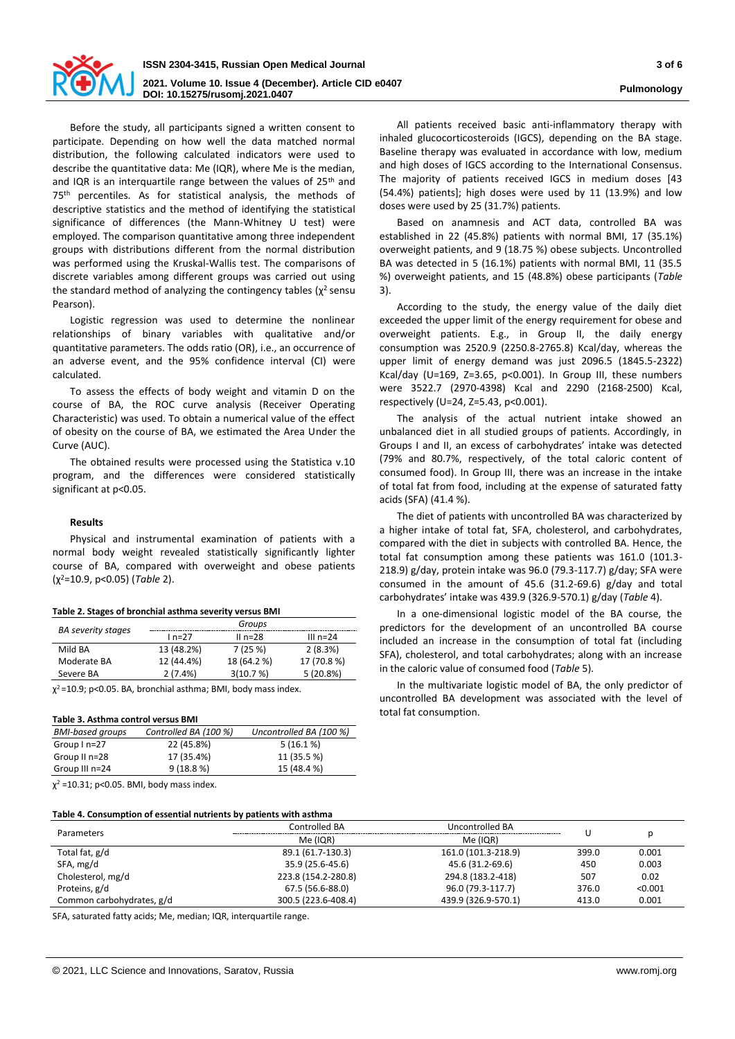

Before the study, all participants signed a written consent to participate. Depending on how well the data matched normal distribution, the following calculated indicators were used to describe the quantitative data: Me (IQR), where Me is the median, and IQR is an interquartile range between the values of 25<sup>th</sup> and 75<sup>th</sup> percentiles. As for statistical analysis, the methods of descriptive statistics and the method of identifying the statistical significance of differences (the Mann-Whitney U test) were employed. The comparison quantitative among three independent groups with distributions different from the normal distribution was performed using the Kruskal-Wallis test. The comparisons of discrete variables among different groups was carried out using the standard method of analyzing the contingency tables ( $\chi^2$  sensu Pearson).

Logistic regression was used to determine the nonlinear relationships of binary variables with qualitative and/or quantitative parameters. The odds ratio (OR), i.e., an occurrence of an adverse event, and the 95% confidence interval (CI) were calculated.

To assess the effects of body weight and vitamin D on the course of BA, the ROC curve analysis (Receiver Operating Characteristic) was used. To obtain a numerical value of the effect of obesity on the course of BA, we estimated the Area Under the Curve (AUC).

The obtained results were processed using the Statistica v.10 program, and the differences were considered statistically significant at p<0.05.

# **Results**

Physical and instrumental examination of patients with a normal body weight revealed statistically significantly lighter course of BA, compared with overweight and obese patients (χ<sup>2</sup>=10.9, p<0.05) (*Table* 2).

| Table 2. Stages of bronchial asthma severity versus BMI |  |  |  |  |  |  |  |
|---------------------------------------------------------|--|--|--|--|--|--|--|
|---------------------------------------------------------|--|--|--|--|--|--|--|

|                           | Groups     |             |             |  |
|---------------------------|------------|-------------|-------------|--|
| <b>BA</b> severity stages | $In=27$    | II $n=28$   | III $n=24$  |  |
| Mild BA                   | 13 (48.2%) | 7(25%)      | 2(8.3%)     |  |
| Moderate BA               | 12 (44.4%) | 18 (64.2 %) | 17 (70.8 %) |  |
| Severe BA                 | 2(7.4%)    | 3(10.7%)    | 5(20.8%)    |  |

 $\chi^2$ =10.9; p<0.05. BA, bronchial asthma; BMI, body mass index.

#### **Table 3. Asthma control versus BMI**

| Controlled BA (100 %) | Uncontrolled BA (100 %) |
|-----------------------|-------------------------|
| 22 (45.8%)            | $5(16.1\%)$             |
| 17 (35.4%)            | 11 (35.5 %)             |
| 9(18.8%)              | 15 (48.4 %)             |
|                       |                         |

 $\chi^2$  =10.31; p<0.05. BMI, body mass index.

### **Table 4. Consumption of essential nutrients by patients with asthma**

All patients received basic anti-inflammatory therapy with inhaled glucocorticosteroids (IGCS), depending on the BA stage. Baseline therapy was evaluated in accordance with low, medium and high doses of IGCS according to the International Consensus. The majority of patients received IGCS in medium doses [43 (54.4%) patients]; high doses were used by 11 (13.9%) and low doses were used by 25 (31.7%) patients.

Based on anamnesis and ACT data, controlled BA was established in 22 (45.8%) patients with normal BMI, 17 (35.1%) overweight patients, and 9 (18.75 %) obese subjects. Uncontrolled BA was detected in 5 (16.1%) patients with normal BMI, 11 (35.5 %) overweight patients, and 15 (48.8%) obese participants (*Table* 3).

According to the study, the energy value of the daily diet exceeded the upper limit of the energy requirement for obese and overweight patients. E.g., in Group II, the daily energy consumption was 2520.9 (2250.8-2765.8) Kcal/day, whereas the upper limit of energy demand was just 2096.5 (1845.5-2322) Kcal/day (U=169, Z=3.65, p<0.001). In Group III, these numbers were 3522.7 (2970-4398) Kcal and 2290 (2168-2500) Kcal, respectively (U=24, Z=5.43, p<0.001).

The analysis of the actual nutrient intake showed an unbalanced diet in all studied groups of patients. Accordingly, in Groups I and II, an excess of carbohydrates' intake was detected (79% and 80.7%, respectively, of the total caloric content of consumed food). In Group III, there was an increase in the intake of total fat from food, including at the expense of saturated fatty acids (SFA) (41.4 %).

The diet of patients with uncontrolled BA was characterized by a higher intake of total fat, SFA, cholesterol, and carbohydrates, compared with the diet in subjects with controlled BA. Hence, the total fat consumption among these patients was 161.0 (101.3- 218.9) g/day, protein intake was 96.0 (79.3-117.7) g/day; SFA were consumed in the amount of 45.6 (31.2-69.6) g/day and total carbohydrates' intake was 439.9 (326.9-570.1) g/day (*Table* 4).

In a one-dimensional logistic model of the BA course, the predictors for the development of an uncontrolled BA course included an increase in the consumption of total fat (including SFA), cholesterol, and total carbohydrates; along with an increase in the caloric value of consumed food (*Table* 5).

In the multivariate logistic model of BA, the only predictor of uncontrolled BA development was associated with the level of total fat consumption.

| Table 4. Consumption of essential nutrients by patients with astimia |                     |                     |       |         |  |
|----------------------------------------------------------------------|---------------------|---------------------|-------|---------|--|
| Parameters                                                           | Controlled BA       | Uncontrolled BA     |       |         |  |
|                                                                      | Me (IQR)            | Me (IQR)            |       |         |  |
| Total fat, g/d                                                       | 89.1 (61.7-130.3)   | 161.0 (101.3-218.9) | 399.0 | 0.001   |  |
| SFA, mg/d                                                            | 35.9 (25.6-45.6)    | 45.6 (31.2-69.6)    | 450   | 0.003   |  |
| Cholesterol, mg/d                                                    | 223.8 (154.2-280.8) | 294.8 (183.2-418)   | 507   | 0.02    |  |
| Proteins, g/d                                                        | 67.5 (56.6-88.0)    | 96.0 (79.3-117.7)   | 376.0 | < 0.001 |  |
| Common carbohydrates, g/d                                            | 300.5 (223.6-408.4) | 439.9 (326.9-570.1) | 413.0 | 0.001   |  |

SFA, saturated fatty acids; Me, median; IQR, interquartile range.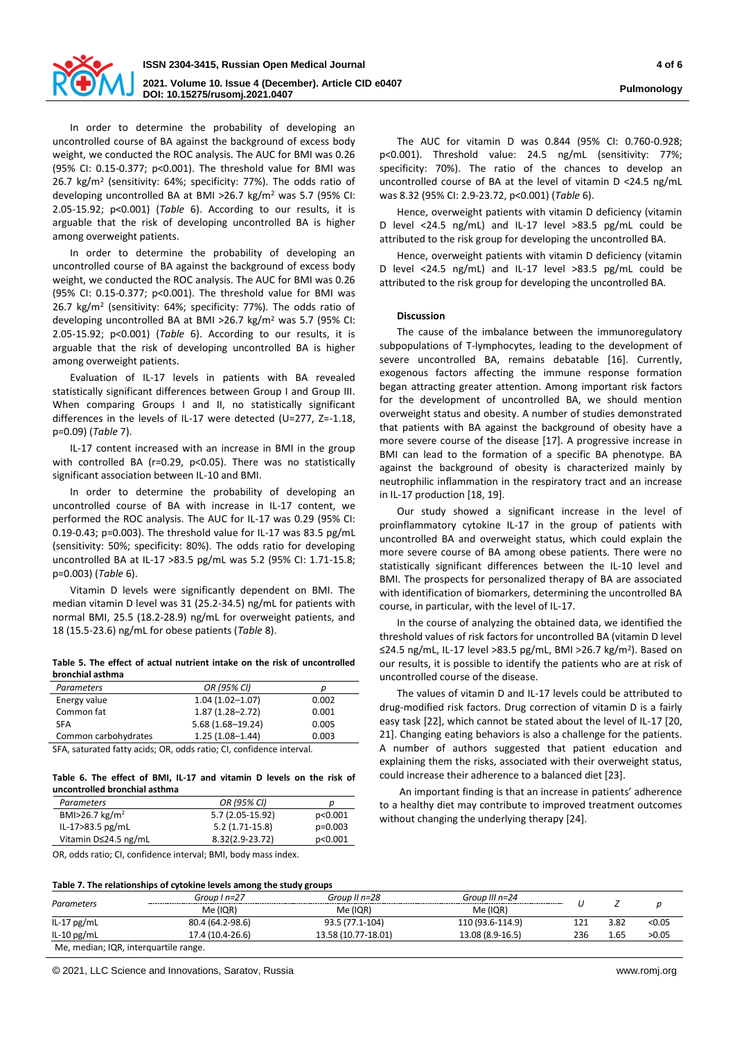

In order to determine the probability of developing an uncontrolled course of BA against the background of excess body weight, we conducted the ROC analysis. The AUC for BMI was 0.26 (95% CI: 0.15-0.377; p<0.001). The threshold value for BMI was 26.7 kg/m<sup>2</sup> (sensitivity: 64%; specificity: 77%). The odds ratio of developing uncontrolled BA at BMI >26.7 kg/m<sup>2</sup> was 5.7 (95% CI: 2.05-15.92; p<0.001) (*Table* 6). According to our results, it is arguable that the risk of developing uncontrolled BA is higher among overweight patients.

In order to determine the probability of developing an uncontrolled course of BA against the background of excess body weight, we conducted the ROC analysis. The AUC for BMI was 0.26 (95% CI: 0.15-0.377; p<0.001). The threshold value for BMI was 26.7 kg/m<sup>2</sup> (sensitivity: 64%; specificity: 77%). The odds ratio of developing uncontrolled BA at BMI >26.7 kg/m<sup>2</sup> was 5.7 (95% CI: 2.05-15.92; p<0.001) (*Table* 6). According to our results, it is arguable that the risk of developing uncontrolled BA is higher among overweight patients.

Evaluation of IL-17 levels in patients with BA revealed statistically significant differences between Group I and Group III. When comparing Groups I and II, no statistically significant differences in the levels of IL-17 were detected (U=277, Z=-1.18, p=0.09) (*Table* 7).

IL-17 content increased with an increase in BMI in the group with controlled BA (r=0.29, p<0.05). There was no statistically significant association between IL-10 and BMI.

In order to determine the probability of developing an uncontrolled course of BA with increase in IL-17 content, we performed the ROC analysis. The AUC for IL-17 was 0.29 (95% CI: 0.19-0.43; p=0.003). The threshold value for IL-17 was 83.5 pg/mL (sensitivity: 50%; specificity: 80%). The odds ratio for developing uncontrolled BA at IL-17 >83.5 pg/mL was 5.2 (95% CI: 1.71-15.8; p=0.003) (*Table* 6).

Vitamin D levels were significantly dependent on BMI. The median vitamin D level was 31 (25.2-34.5) ng/mL for patients with normal BMI, 25.5 (18.2-28.9) ng/mL for overweight patients, and 18 (15.5-23.6) ng/mL for obese patients (*Table* 8).

**Table 5. The effect of actual nutrient intake on the risk of uncontrolled bronchial asthma**

| <b>Parameters</b>    | OR (95% CI)         | D     |
|----------------------|---------------------|-------|
| Energy value         | $1.04(1.02 - 1.07)$ | 0.002 |
| Common fat           | $1.87(1.28 - 2.72)$ | 0.001 |
| <b>SFA</b>           | 5.68 (1.68-19.24)   | 0.005 |
| Common carbohydrates | $1.25(1.08 - 1.44)$ | 0.003 |

SFA, saturated fatty acids; OR, odds ratio; CI, confidence interval.

**Table 6. The effect of BMI, IL-17 and vitamin D levels on the risk of uncontrolled bronchial asthma**

| Parameters                 | OR (95% CI)      |           |
|----------------------------|------------------|-----------|
| BMI>26.7 kg/m <sup>2</sup> | 5.7 (2.05-15.92) | p<0.001   |
| IL-17>83.5 pg/mL           | $5.2(1.71-15.8)$ | $p=0.003$ |
| Vitamin D≤24.5 ng/mL       | 8.32(2.9-23.72)  | p<0.001   |
|                            |                  |           |

OR, odds ratio; CI, confidence interval; BMI, body mass index.

The AUC for vitamin D was 0.844 (95% CI: 0.760-0.928; p<0.001). Threshold value: 24.5 ng/mL (sensitivity: 77%; specificity: 70%). The ratio of the chances to develop an uncontrolled course of BA at the level of vitamin D <24.5 ng/mL was 8.32 (95% CI: 2.9-23.72, p<0.001) (*Table* 6).

Hence, overweight patients with vitamin D deficiency (vitamin D level <24.5 ng/mL) and IL-17 level >83.5 pg/mL could be attributed to the risk group for developing the uncontrolled BA.

Hence, overweight patients with vitamin D deficiency (vitamin D level <24.5 ng/mL) and IL-17 level >83.5 pg/mL could be attributed to the risk group for developing the uncontrolled BA.

# **Discussion**

The cause of the imbalance between the immunoregulatory subpopulations of T-lymphocytes, leading to the development of severe uncontrolled BA, remains debatable [16]. Currently, exogenous factors affecting the immune response formation began attracting greater attention. Among important risk factors for the development of uncontrolled BA, we should mention overweight status and obesity. A number of studies demonstrated that patients with BA against the background of obesity have a more severe course of the disease [17]. A progressive increase in BMI can lead to the formation of a specific BA phenotype. BA against the background of obesity is characterized mainly by neutrophilic inflammation in the respiratory tract and an increase in IL-17 production [18, 19].

Our study showed a significant increase in the level of proinflammatory cytokine IL-17 in the group of patients with uncontrolled BA and overweight status, which could explain the more severe course of BA among obese patients. There were no statistically significant differences between the IL-10 level and BMI. The prospects for personalized therapy of BA are associated with identification of biomarkers, determining the uncontrolled BA course, in particular, with the level of IL-17.

In the course of analyzing the obtained data, we identified the threshold values of risk factors for uncontrolled BA (vitamin D level ≤24.5 ng/mL, IL-17 level >83.5 pg/mL, BMI >26.7 kg/m<sup>2</sup>). Based on our results, it is possible to identify the patients who are at risk of uncontrolled course of the disease.

The values of vitamin D and IL-17 levels could be attributed to drug-modified risk factors. Drug correction of vitamin D is a fairly easy task [22], which cannot be stated about the level of IL-17 [20, 21]. Changing eating behaviors is also a challenge for the patients. A number of authors suggested that patient education and explaining them the risks, associated with their overweight status, could increase their adherence to a balanced diet [23].

An important finding is that an increase in patients' adherence to a healthy diet may contribute to improved treatment outcomes without changing the underlying therapy [24].

|--|

|                                                                              | Group I n=27 | Group II $n=28$      | Group III n=24 |  |      |        |
|------------------------------------------------------------------------------|--------------|----------------------|----------------|--|------|--------|
| Parameters                                                                   | Me (IQR)     | Me (IQR)<br>Me (IQR) |                |  |      |        |
| IL-17 $pg/mL$<br>80.4 (64.2-98.6)<br>110 (93.6-114.9)<br>93.5 (77.1-104)     |              |                      |                |  | 3.82 | < 0.05 |
| 17.4 (10.4-26.6)<br>13.58 (10.77-18.01)<br>13.08 (8.9-16.5)<br>IL-10 $pg/mL$ |              |                      |                |  |      | >0.05  |
| Me, median; IQR, interquartile range.                                        |              |                      |                |  |      |        |

© 2021, LLC Science and Innovations, Saratov, Russia www.romj.org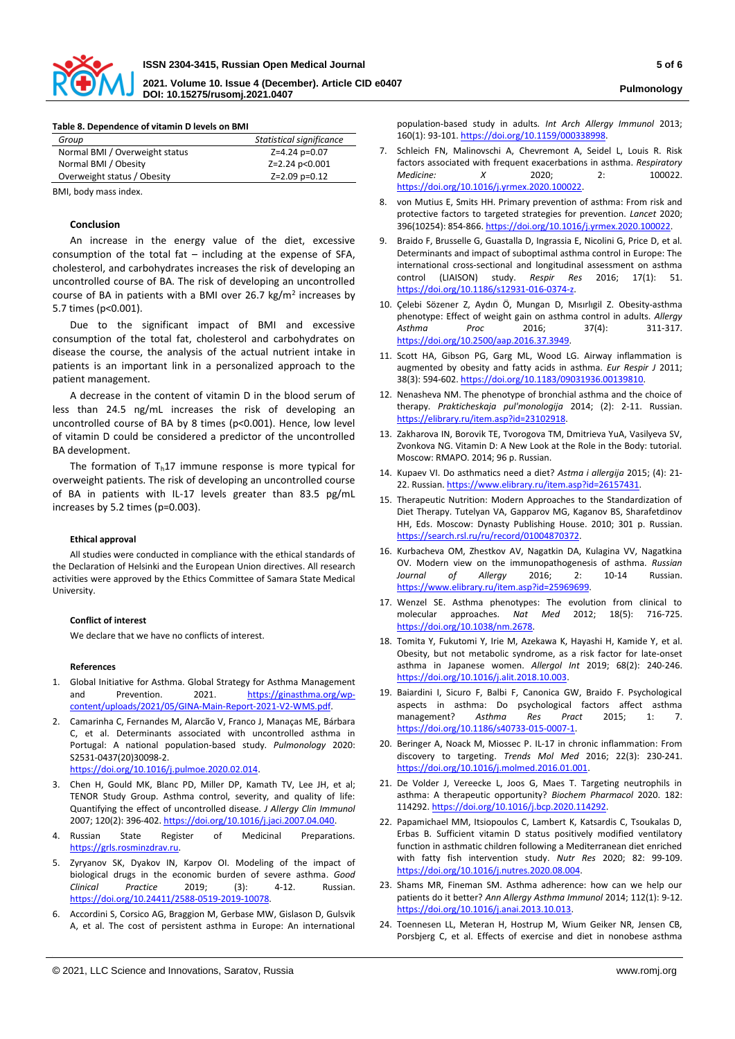

**DOI: 10.15275/rusomj.2021.0407 Pulmonology**

| Table 8. Dependence of vitamin D levels on BMI |                          |  |  |
|------------------------------------------------|--------------------------|--|--|
| Group                                          | Statistical significance |  |  |
| Normal BMI / Overweight status                 | Z=4.24 p=0.07            |  |  |
| Normal BMI / Obesity                           | Z=2.24 p<0.001           |  |  |
| Overweight status / Obesity                    | Z=2.09 p=0.12            |  |  |

BMI, body mass index.

### **Conclusion**

An increase in the energy value of the diet, excessive consumption of the total fat  $-$  including at the expense of SFA, cholesterol, and carbohydrates increases the risk of developing an uncontrolled course of BA. The risk of developing an uncontrolled course of BA in patients with a BMI over 26.7  $\text{kg/m}^2$  increases by 5.7 times (p<0.001).

Due to the significant impact of BMI and excessive consumption of the total fat, cholesterol and carbohydrates on disease the course, the analysis of the actual nutrient intake in patients is an important link in a personalized approach to the patient management.

A decrease in the content of vitamin D in the blood serum of less than 24.5 ng/mL increases the risk of developing an uncontrolled course of BA by 8 times (p<0.001). Hence, low level of vitamin D could be considered a predictor of the uncontrolled BA development.

The formation of  $T_h17$  immune response is more typical for overweight patients. The risk of developing an uncontrolled course of BA in patients with IL-17 levels greater than 83.5 pg/mL increases by 5.2 times (p=0.003).

### **Ethical approval**

All studies were conducted in compliance with the ethical standards of the Declaration of Helsinki and the European Union directives. All research activities were approved by the Ethics Committee of Samara State Medical University.

## **Conflict of interest**

We declare that we have no conflicts of interest.

#### **References**

- 1. Global Initiative for Asthma. Global Strategy for Asthma Management and Prevention. 2021. [https://ginasthma.org/wp](https://ginasthma.org/wp-content/uploads/2021/05/GINA-Main-Report-2021-V2-WMS.pdf)[content/uploads/2021/05/GINA-Main-Report-2021-V2-WMS.pdf.](https://ginasthma.org/wp-content/uploads/2021/05/GINA-Main-Report-2021-V2-WMS.pdf)
- 2. Camarinha C, Fernandes M, Alarcão V, Franco J, Manaças ME, Bárbara C, et al. Determinants associated with uncontrolled asthma in Portugal: A national population-based study. *Pulmonology* 2020: S2531-0437(20)30098-2.

[https://doi.org/10.1016/j.pulmoe.2020.02.014.](https://doi.org/10.1016/j.pulmoe.2020.02.014)

- 3. Chen H, Gould MK, Blanc PD, Miller DP, Kamath TV, Lee JH, et al; TENOR Study Group. Asthma control, severity, and quality of life: Quantifying the effect of uncontrolled disease. *J Allergy Clin Immunol* 2007; 120(2): 396-402. [https://doi.org/10.1016/j.jaci.2007.04.040.](https://doi.org/10.1016/j.jaci.2007.04.040)
- 4. Russian State Register of Medicinal Preparations. [https://grls.rosminzdrav.ru.](https://grls.rosminzdrav.ru/)
- 5. Zyryanov SK, Dyakov IN, Karpov OI. Modeling of the impact of biological drugs in the economic burden of severe asthma. *Good Clinical Practice* 2019; (3): 4-12. Russian. [https://doi.org/10.24411/2588-0519-2019-10078.](https://doi.org/10.24411/2588-0519-2019-10078)
- 6. Accordini S, Corsico AG, Braggion M, Gerbase MW, Gislason D, Gulsvik A, et al. The cost of persistent asthma in Europe: An international

population-based study in adults*. Int Arch Allergy Immunol* 2013; 160(1): 93-101. [https://doi.org/10.1159/000338998.](https://doi.org/10.1159/000338998) 

- 7. Schleich FN, Malinovschi A, Chevremont A, Seidel L, Louis R. Risk factors associated with frequent exacerbations in asthma. *Respiratory Medicine: X* 2020; 2: 100022. [https://doi.org/10.1016/j.yrmex.2020.100022.](https://doi.org/10.1016/j.yrmex.2020.100022)
- 8. von Mutius E, Smits HH. Primary prevention of asthma: From risk and protective factors to targeted strategies for prevention. *Lancet* 2020; 396(10254): 854-866. [https://doi.org/10.1016/j.yrmex.2020.100022.](https://doi.org/10.1016/j.yrmex.2020.100022)
- 9. Braido F, Brusselle G, Guastalla D, Ingrassia E, Nicolini G, Price D, et al. Determinants and impact of suboptimal asthma control in Europe: The international cross-sectional and longitudinal assessment on asthma control (LIAISON) study. *Respir Res* 2016; 17(1): 51. [https://doi.org/10.1186/s12931-016-0374-z.](https://doi.org/10.1186/s12931-016-0374-z)
- 10. Çelebi Sözener Z, Aydın Ö, Mungan D, Mısırlıgil Z. Obesity-asthma phenotype: Effect of weight gain on asthma control in adults. *Allergy Asthma Proc* 2016; 37(4): 311-317. [https://doi.org/10.2500/aap.2016.37.3949.](https://doi.org/10.2500/aap.2016.37.3949)
- 11. Scott HA, Gibson PG, Garg ML, Wood LG. Airway inflammation is augmented by obesity and fatty acids in asthma. *Eur Respir J* 2011; 38(3): 594-602[. https://doi.org/10.1183/09031936.00139810.](https://doi.org/10.1183/09031936.00139810)
- 12. Nenasheva NM. The phenotype of bronchial asthma and the choice of therapy. *Prakticheskaja pul'monologija* 2014; (2): 2-11. Russian. [https://elibrary.ru/item.asp?id=23102918.](https://elibrary.ru/item.asp?id=23102918)
- 13. Zakharova IN, Borovik TE, Tvorogova TM, Dmitrieva YuA, Vasilyeva SV, Zvonkova NG. Vitamin D: A New Look at the Role in the Body: tutorial. Moscow: RMAPO. 2014; 96 p. Russian.
- 14. Kupaev VI. Do asthmatics need a diet? *Astma i allergija* 2015; (4): 21- 22. Russian[. https://www.elibrary.ru/item.asp?id=26157431.](https://www.elibrary.ru/item.asp?id=26157431)
- 15. Therapeutic Nutrition: Modern Approaches to the Standardization of Diet Therapy. Tutelyan VA, Gapparov MG, Kaganov BS, Sharafetdinov HH, Eds. Moscow: Dynasty Publishing House. 2010; 301 p. Russian. [https://search.rsl.ru/ru/record/01004870372.](https://search.rsl.ru/ru/record/01004870372)
- 16. Kurbacheva OM, Zhestkov AV, Nagatkin DA, Kulagina VV, Nagatkina OV. Modern view on the immunopathogenesis of asthma. *Russian*  of Allergy [https://www.elibrary.ru/item.asp?id=25969699.](https://www.elibrary.ru/item.asp?id=25969699)
- 17. Wenzel SE. Asthma phenotypes: The evolution from clinical to molecular approaches. *Nat Med* 2012; 18(5): 716-725. [https://doi.org/10.1038/nm.2678.](https://doi.org/10.1038/nm.2678)
- 18. Tomita Y, Fukutomi Y, Irie M, Azekawa K, Hayashi H, Kamide Y, et al. Obesity, but not metabolic syndrome, as a risk factor for late-onset asthma in Japanese women. *Allergol Int* 2019; 68(2): 240-246. [https://doi.org/10.1016/j.alit.2018.10.003.](https://doi.org/10.1016/j.alit.2018.10.003)
- 19. Baiardini I, Sicuro F, Balbi F, Canonica GW, Braido F. Psychological aspects in asthma: Do psychological factors affect asthma management? *Asthma Res Pract* 2015; 1: 7. [https://doi.org/10.1186/s40733-015-0007-1.](https://doi.org/10.1186/s40733-015-0007-1)
- 20. Beringer A, Noack M, Miossec P. IL-17 in chronic inflammation: From discovery to targeting. *Trends Mol Med* 2016; 22(3): 230-241. [https://doi.org/10.1016/j.molmed.2016.01.001.](https://doi.org/10.1016/j.molmed.2016.01.001)
- 21. De Volder J, Vereecke L, Joos G, Maes T. Targeting neutrophils in asthma: A therapeutic opportunity? *Biochem Pharmacol* 2020. 182: 114292[. https://doi.org/10.1016/j.bcp.2020.114292.](https://doi.org/10.1016/j.bcp.2020.114292)
- 22. Papamichael MM, Itsiopoulos C, Lambert K, Katsardis C, Tsoukalas D, Erbas B. Sufficient vitamin D status positively modified ventilatory function in asthmatic children following a Mediterranean diet enriched with fatty fish intervention study. *Nutr Res* 2020; 82: 99-109. [https://doi.org/10.1016/j.nutres.2020.08.004.](https://doi.org/10.1016/j.nutres.2020.08.004)
- 23. Shams MR, Fineman SM. Asthma adherence: how can we help our patients do it better? *Ann Allergy Asthma Immunol* 2014; 112(1): 9-12. [https://doi.org/10.1016/j.anai.2013.10.013.](https://doi.org/10.1016/j.anai.2013.10.013)
- 24. Toennesen LL, Meteran H, Hostrup M, Wium Geiker NR, Jensen CB, Porsbjerg C, et al. Effects of exercise and diet in nonobese asthma